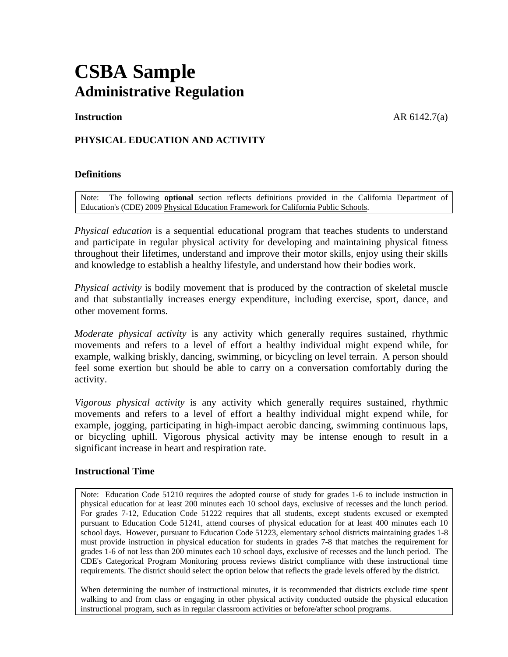# **CSBA Sample Administrative Regulation**

**Instruction** AR 6142.7(a)

# **PHYSICAL EDUCATION AND ACTIVITY**

### **Definitions**

Note: The following **optional** section reflects definitions provided in the California Department of Education's (CDE) 2009 Physical Education Framework for California Public Schools.

*Physical education* is a sequential educational program that teaches students to understand and participate in regular physical activity for developing and maintaining physical fitness throughout their lifetimes, understand and improve their motor skills, enjoy using their skills and knowledge to establish a healthy lifestyle, and understand how their bodies work.

*Physical activity* is bodily movement that is produced by the contraction of skeletal muscle and that substantially increases energy expenditure, including exercise, sport, dance, and other movement forms.

*Moderate physical activity* is any activity which generally requires sustained, rhythmic movements and refers to a level of effort a healthy individual might expend while, for example, walking briskly, dancing, swimming, or bicycling on level terrain. A person should feel some exertion but should be able to carry on a conversation comfortably during the activity.

*Vigorous physical activity* is any activity which generally requires sustained, rhythmic movements and refers to a level of effort a healthy individual might expend while, for example, jogging, participating in high-impact aerobic dancing, swimming continuous laps, or bicycling uphill. Vigorous physical activity may be intense enough to result in a significant increase in heart and respiration rate.

#### **Instructional Time**

Note: Education Code 51210 requires the adopted course of study for grades 1-6 to include instruction in physical education for at least 200 minutes each 10 school days, exclusive of recesses and the lunch period. For grades 7-12, Education Code 51222 requires that all students, except students excused or exempted pursuant to Education Code 51241, attend courses of physical education for at least 400 minutes each 10 school days. However, pursuant to Education Code 51223, elementary school districts maintaining grades 1-8 must provide instruction in physical education for students in grades 7-8 that matches the requirement for grades 1-6 of not less than 200 minutes each 10 school days, exclusive of recesses and the lunch period. The CDE's Categorical Program Monitoring process reviews district compliance with these instructional time requirements. The district should select the option below that reflects the grade levels offered by the district.

When determining the number of instructional minutes, it is recommended that districts exclude time spent walking to and from class or engaging in other physical activity conducted outside the physical education instructional program, such as in regular classroom activities or before/after school programs.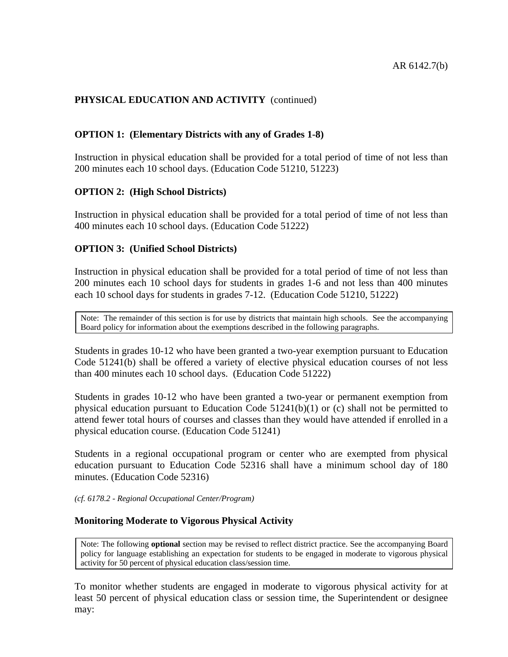# **OPTION 1: (Elementary Districts with any of Grades 1-8)**

Instruction in physical education shall be provided for a total period of time of not less than 200 minutes each 10 school days. (Education Code 51210, 51223)

# **OPTION 2: (High School Districts)**

Instruction in physical education shall be provided for a total period of time of not less than 400 minutes each 10 school days. (Education Code 51222)

# **OPTION 3: (Unified School Districts)**

Instruction in physical education shall be provided for a total period of time of not less than 200 minutes each 10 school days for students in grades 1-6 and not less than 400 minutes each 10 school days for students in grades 7-12. (Education Code 51210, 51222)

Note: The remainder of this section is for use by districts that maintain high schools. See the accompanying Board policy for information about the exemptions described in the following paragraphs.

Students in grades 10-12 who have been granted a two-year exemption pursuant to Education Code 51241(b) shall be offered a variety of elective physical education courses of not less than 400 minutes each 10 school days. (Education Code 51222)

Students in grades 10-12 who have been granted a two-year or permanent exemption from physical education pursuant to Education Code  $51241(b)(1)$  or (c) shall not be permitted to attend fewer total hours of courses and classes than they would have attended if enrolled in a physical education course. (Education Code 51241)

Students in a regional occupational program or center who are exempted from physical education pursuant to Education Code 52316 shall have a minimum school day of 180 minutes. (Education Code 52316)

#### *(cf. 6178.2 - Regional Occupational Center/Program)*

# **Monitoring Moderate to Vigorous Physical Activity**

Note: The following **optional** section may be revised to reflect district practice. See the accompanying Board policy for language establishing an expectation for students to be engaged in moderate to vigorous physical activity for 50 percent of physical education class/session time.

To monitor whether students are engaged in moderate to vigorous physical activity for at least 50 percent of physical education class or session time, the Superintendent or designee may: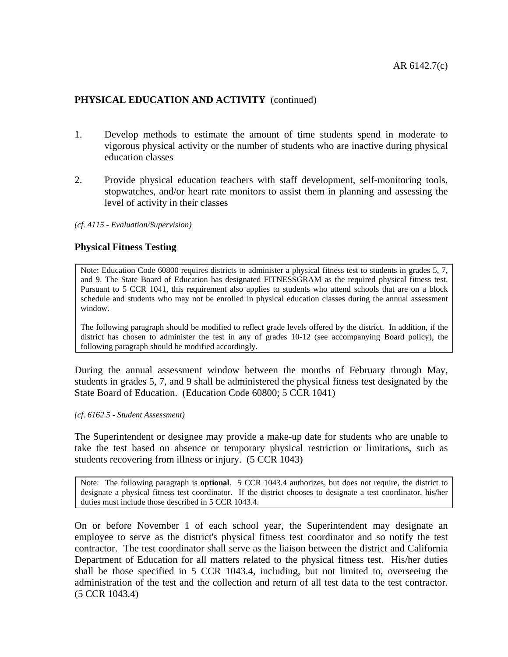- 1. Develop methods to estimate the amount of time students spend in moderate to vigorous physical activity or the number of students who are inactive during physical education classes
- 2. Provide physical education teachers with staff development, self-monitoring tools, stopwatches, and/or heart rate monitors to assist them in planning and assessing the level of activity in their classes

*(cf. 4115 - Evaluation/Supervision)* 

### **Physical Fitness Testing**

Note: Education Code 60800 requires districts to administer a physical fitness test to students in grades 5, 7, and 9. The State Board of Education has designated FITNESSGRAM as the required physical fitness test. Pursuant to 5 CCR 1041, this requirement also applies to students who attend schools that are on a block schedule and students who may not be enrolled in physical education classes during the annual assessment window.

The following paragraph should be modified to reflect grade levels offered by the district. In addition, if the district has chosen to administer the test in any of grades 10-12 (see accompanying Board policy), the following paragraph should be modified accordingly.

During the annual assessment window between the months of February through May, students in grades 5, 7, and 9 shall be administered the physical fitness test designated by the State Board of Education. (Education Code 60800; 5 CCR 1041)

*(cf. 6162.5 - Student Assessment)* 

The Superintendent or designee may provide a make-up date for students who are unable to take the test based on absence or temporary physical restriction or limitations, such as students recovering from illness or injury. (5 CCR 1043)

Note: The following paragraph is **optional**. 5 CCR 1043.4 authorizes, but does not require, the district to designate a physical fitness test coordinator. If the district chooses to designate a test coordinator, his/her duties must include those described in 5 CCR 1043.4.

On or before November 1 of each school year, the Superintendent may designate an employee to serve as the district's physical fitness test coordinator and so notify the test contractor. The test coordinator shall serve as the liaison between the district and California Department of Education for all matters related to the physical fitness test. His/her duties shall be those specified in 5 CCR 1043.4, including, but not limited to, overseeing the administration of the test and the collection and return of all test data to the test contractor. (5 CCR 1043.4)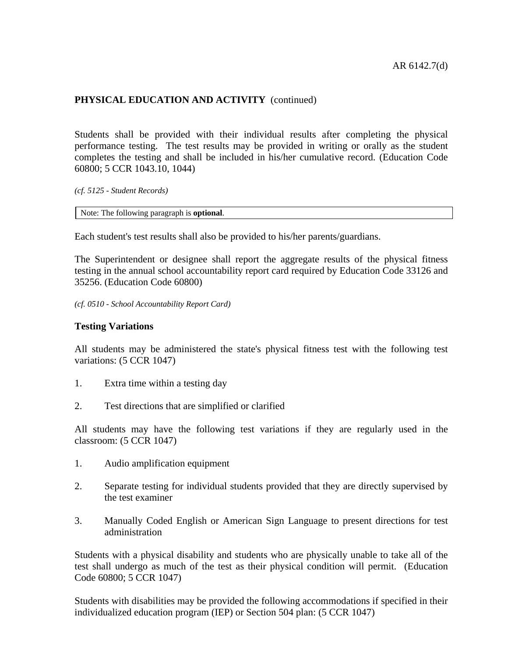Students shall be provided with their individual results after completing the physical performance testing. The test results may be provided in writing or orally as the student completes the testing and shall be included in his/her cumulative record. (Education Code 60800; 5 CCR 1043.10, 1044)

*(cf. 5125 - Student Records)* 

Note: The following paragraph is **optional**.

Each student's test results shall also be provided to his/her parents/guardians.

The Superintendent or designee shall report the aggregate results of the physical fitness testing in the annual school accountability report card required by Education Code 33126 and 35256. (Education Code 60800)

*(cf. 0510 - School Accountability Report Card)* 

#### **Testing Variations**

All students may be administered the state's physical fitness test with the following test variations: (5 CCR 1047)

- 1. Extra time within a testing day
- 2. Test directions that are simplified or clarified

All students may have the following test variations if they are regularly used in the classroom: (5 CCR 1047)

- 1. Audio amplification equipment
- 2. Separate testing for individual students provided that they are directly supervised by the test examiner
- 3. Manually Coded English or American Sign Language to present directions for test administration

Students with a physical disability and students who are physically unable to take all of the test shall undergo as much of the test as their physical condition will permit. (Education Code 60800; 5 CCR 1047)

Students with disabilities may be provided the following accommodations if specified in their individualized education program (IEP) or Section 504 plan: (5 CCR 1047)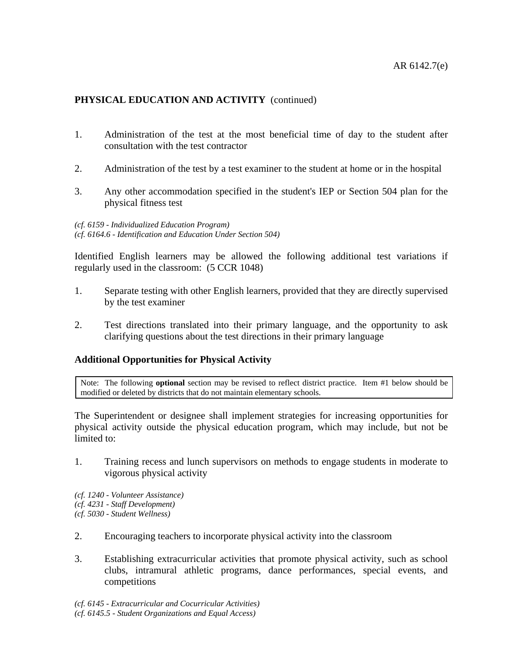- 1. Administration of the test at the most beneficial time of day to the student after consultation with the test contractor
- 2. Administration of the test by a test examiner to the student at home or in the hospital
- 3. Any other accommodation specified in the student's IEP or Section 504 plan for the physical fitness test

*(cf. 6159 - Individualized Education Program) (cf. 6164.6 - Identification and Education Under Section 504)* 

Identified English learners may be allowed the following additional test variations if regularly used in the classroom: (5 CCR 1048)

- 1. Separate testing with other English learners, provided that they are directly supervised by the test examiner
- 2. Test directions translated into their primary language, and the opportunity to ask clarifying questions about the test directions in their primary language

# **Additional Opportunities for Physical Activity**

Note: The following **optional** section may be revised to reflect district practice. Item #1 below should be modified or deleted by districts that do not maintain elementary schools.

The Superintendent or designee shall implement strategies for increasing opportunities for physical activity outside the physical education program, which may include, but not be limited to:

1. Training recess and lunch supervisors on methods to engage students in moderate to vigorous physical activity

*(cf. 1240 - Volunteer Assistance) (cf. 4231 - Staff Development) (cf. 5030 - Student Wellness)* 

- 2. Encouraging teachers to incorporate physical activity into the classroom
- 3. Establishing extracurricular activities that promote physical activity, such as school clubs, intramural athletic programs, dance performances, special events, and competitions
- *(cf. 6145 Extracurricular and Cocurricular Activities) (cf. 6145.5 - Student Organizations and Equal Access)*